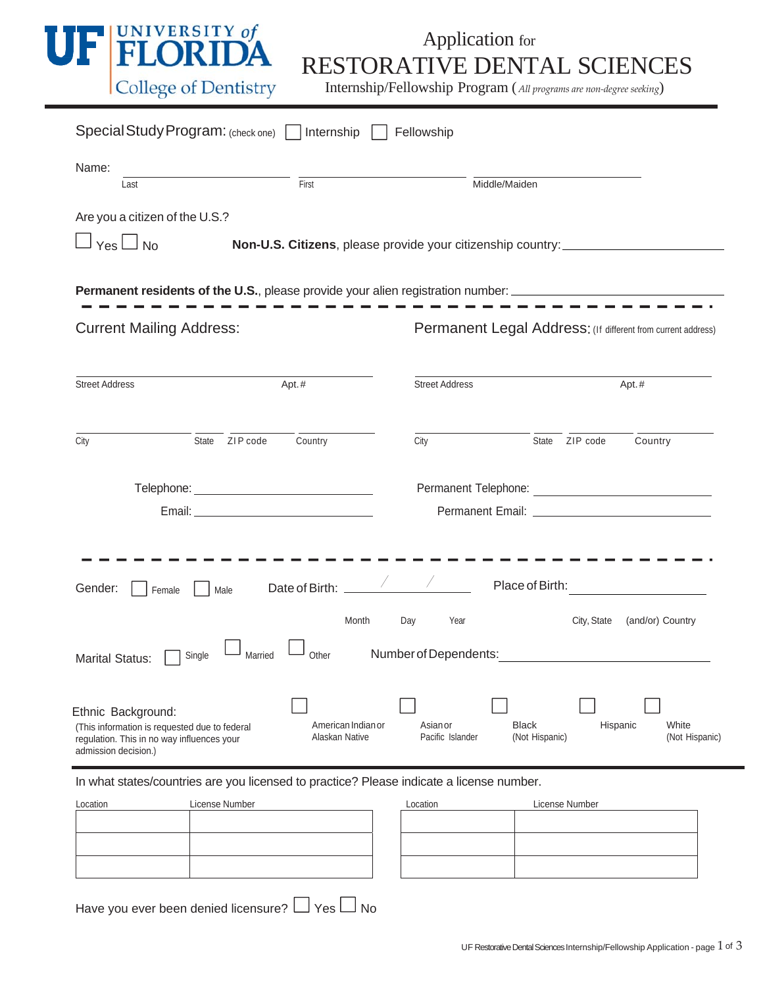

## **RESTORATIVE DENTAL SCIENCES**<br>
College of Dentistry Internship/Fellowship Program (*All programs are non-degree seeking*)

| Special Study Program: (check one) Internship                                                                                             |                                      | Fellowship                   |                                                                              |  |
|-------------------------------------------------------------------------------------------------------------------------------------------|--------------------------------------|------------------------------|------------------------------------------------------------------------------|--|
| Name:<br>Last                                                                                                                             | First                                | Middle/Maiden                |                                                                              |  |
| Are you a citizen of the U.S.?<br>Yes $\Box$ No                                                                                           |                                      |                              | Non-U.S. Citizens, please provide your citizenship country:                  |  |
| <b>Permanent residents of the U.S.</b> , please provide your alien registration number: ______________________________                    |                                      |                              |                                                                              |  |
| <b>Current Mailing Address:</b>                                                                                                           |                                      |                              | Permanent Legal Address: (If different from current address)                 |  |
| <b>Street Address</b>                                                                                                                     | Apt.#                                | <b>Street Address</b>        | Apt.#                                                                        |  |
| State ZIP code<br>City                                                                                                                    | Country                              | City                         | ZIP code<br>Country<br>State                                                 |  |
|                                                                                                                                           |                                      |                              |                                                                              |  |
| Gender:<br>Male<br>Female                                                                                                                 | Month<br>Day                         | Year                         | Place of Birth: <u>__________________</u><br>City, State<br>(and/or) Country |  |
| Single<br>Married<br><b>Marital Status:</b>                                                                                               | Other                                | Number of Dependents:        |                                                                              |  |
| Ethnic Background:<br>(This information is requested due to federal<br>regulation. This in no way influences your<br>admission decision.) | American Indian or<br>Alaskan Native | Asian or<br>Pacific Islander | White<br><b>Black</b><br>Hispanic<br>(Not Hispanic)<br>(Not Hispanic)        |  |

In what states/countries are you licensed to practice? Please indicate a license number.

| Location | License Number | Location | License Number |
|----------|----------------|----------|----------------|
|          |                |          |                |
|          |                |          |                |
|          |                |          |                |
|          |                |          |                |
|          |                |          |                |

| Location | License Number |  |  |
|----------|----------------|--|--|
|          |                |  |  |
|          |                |  |  |
|          |                |  |  |
|          |                |  |  |
|          |                |  |  |

Have you ever been denied licensure?  $\Box$  Yes  $\Box$  No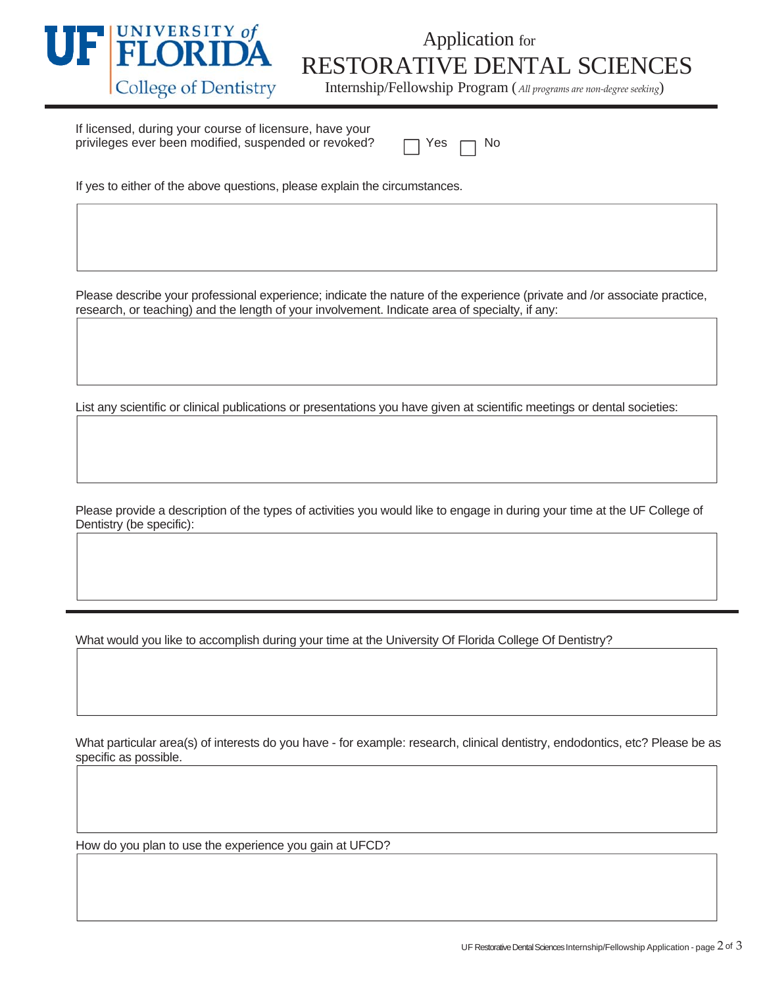

## TEUNIUA RESTORATIVE DENTAL SCIENCES<br>
College of Dentistry Internship/Fellowship Program (*All programs are non-degree seeking*)

If licensed, during your course of licensure, have your privileges ever been modified, suspended or revoked?

| ່≏⊂ |  | N٥ |
|-----|--|----|
|-----|--|----|

If yes to either of the above questions, please explain the circumstances.

Please describe your professional experience; indicate the nature of the experience (private and /or associate practice, research, or teaching) and the length of your involvement. Indicate area of specialty, if any:

List any scientific or clinical publications or presentations you have given at scientific meetings or dental societies:

Please provide a description of the types of activities you would like to engage in during your time at the UF College of Dentistry (be specific):

What would you like to accomplish during your time at the University Of Florida College Of Dentistry?

What particular area(s) of interests do you have - for example: research, clinical dentistry, endodontics, etc? Please be as specific as possible.

How do you plan to use the experience you gain at UFCD?